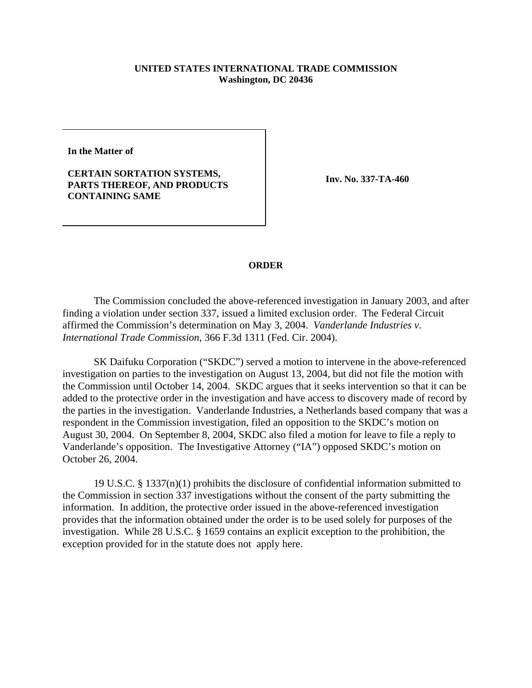## **UNITED STATES INTERNATIONAL TRADE COMMISSION Washington, DC 20436**

**In the Matter of**

## **CERTAIN SORTATION SYSTEMS, PARTS THEREOF, AND PRODUCTS CONTAINING SAME**

**Inv. No. 337-TA-460**

## **ORDER**

The Commission concluded the above-referenced investigation in January 2003, and after finding a violation under section 337, issued a limited exclusion order. The Federal Circuit affirmed the Commission's determination on May 3, 2004. *Vanderlande Industries v. International Trade Commission*, 366 F.3d 1311 (Fed. Cir. 2004).

SK Daifuku Corporation ("SKDC") served a motion to intervene in the above-referenced investigation on parties to the investigation on August 13, 2004, but did not file the motion with the Commission until October 14, 2004. SKDC argues that it seeks intervention so that it can be added to the protective order in the investigation and have access to discovery made of record by the parties in the investigation. Vanderlande Industries, a Netherlands based company that was a respondent in the Commission investigation, filed an opposition to the SKDC's motion on August 30, 2004. On September 8, 2004, SKDC also filed a motion for leave to file a reply to Vanderlande's opposition. The Investigative Attorney ("IA") opposed SKDC's motion on October 26, 2004.

19 U.S.C. § 1337(n)(1) prohibits the disclosure of confidential information submitted to the Commission in section 337 investigations without the consent of the party submitting the information. In addition, the protective order issued in the above-referenced investigation provides that the information obtained under the order is to be used solely for purposes of the investigation. While 28 U.S.C. § 1659 contains an explicit exception to the prohibition, the exception provided for in the statute does not apply here.